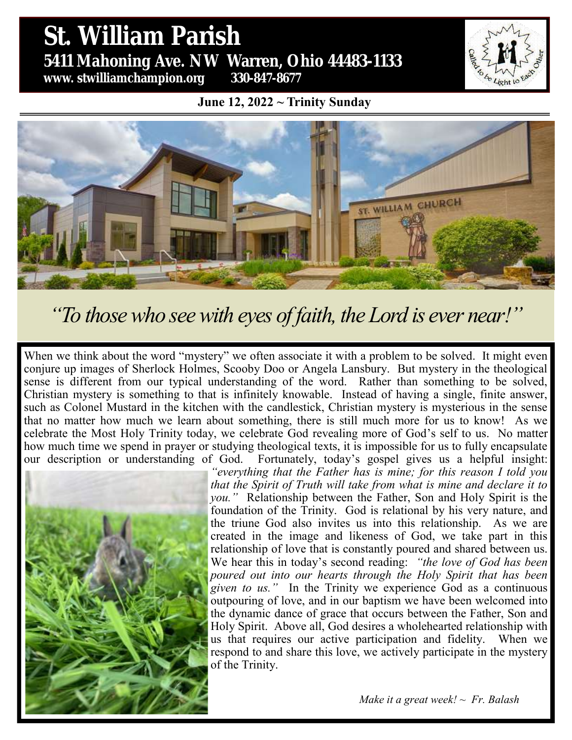# St. William Parish **St. William Parish** 5431 Mahoning Ave. NW Warren, Ohio 44483 **5411 Mahoning Ave. NW Warren, Ohio 44483-1133 www. stwilliamchampion.org 330-847-8677**



**June 12, 2022 ~ Trinity Sunday**



*"To those who see with eyes of faith, the Lord is ever near!"*

When we think about the word "mystery" we often associate it with a problem to be solved. It might even conjure up images of Sherlock Holmes, Scooby Doo or Angela Lansbury. But mystery in the theological sense is different from our typical understanding of the word. Rather than something to be solved, Christian mystery is something to that is infinitely knowable. Instead of having a single, finite answer, such as Colonel Mustard in the kitchen with the candlestick, Christian mystery is mysterious in the sense that no matter how much we learn about something, there is still much more for us to know! As we celebrate the Most Holy Trinity today, we celebrate God revealing more of God's self to us. No matter how much time we spend in prayer or studying theological texts, it is impossible for us to fully encapsulate our description or understanding of God. Fortunately, today's gospel gives us a helpful insight:



*"everything that the Father has is mine; for this reason I told you that the Spirit of Truth will take from what is mine and declare it to you."* Relationship between the Father, Son and Holy Spirit is the foundation of the Trinity. God is relational by his very nature, and the triune God also invites us into this relationship. As we are created in the image and likeness of God, we take part in this relationship of love that is constantly poured and shared between us. We hear this in today's second reading: *"the love of God has been poured out into our hearts through the Holy Spirit that has been given to us."* In the Trinity we experience God as a continuous outpouring of love, and in our baptism we have been welcomed into the dynamic dance of grace that occurs between the Father, Son and Holy Spirit. Above all, God desires a wholehearted relationship with us that requires our active participation and fidelity. When we respond to and share this love, we actively participate in the mystery of the Trinity.

*Make it a great week! ~ Fr. Balash*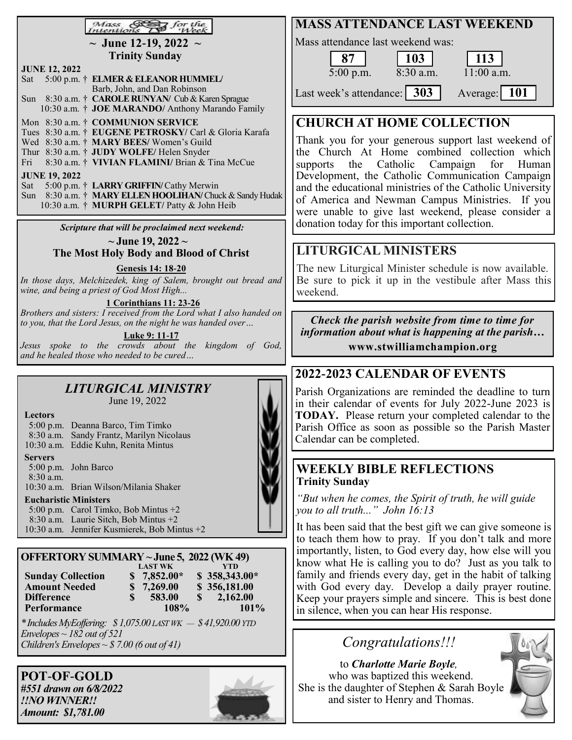#### Mass<br>Intentions  $\beta$  for the

**~ June 12-19, 2022 ~ Trinity Sunday**

| <b>JUNE 12, 2022</b> |  |                                                          |  |  |  |  |  |  |
|----------------------|--|----------------------------------------------------------|--|--|--|--|--|--|
|                      |  | Sat 5:00 p.m. † ELMER & ELEANOR HUMMEL/                  |  |  |  |  |  |  |
|                      |  | Barb, John, and Dan Robinson                             |  |  |  |  |  |  |
|                      |  | Sun 8:30 a.m. † CAROLE RUNYAN/ Cub & Karen Sprague       |  |  |  |  |  |  |
|                      |  | 10:30 a.m. † JOE MARANDO/ Anthony Marando Family         |  |  |  |  |  |  |
|                      |  | Mon 8:30 a.m. † COMMUNION SERVICE                        |  |  |  |  |  |  |
|                      |  | Tues 8:30 a.m. † EUGENE PETROSKY/ Carl & Gloria Karafa   |  |  |  |  |  |  |
|                      |  | Wed 8:30 a.m. † MARY BEES/Women's Guild                  |  |  |  |  |  |  |
|                      |  | Thur 8:30 a.m. † JUDY WOLFE/ Helen Snyder                |  |  |  |  |  |  |
|                      |  | Fri 8:30 a.m. † VIVIAN FLAMINI/ Brian & Tina McCue       |  |  |  |  |  |  |
| <b>JUNE 19, 2022</b> |  |                                                          |  |  |  |  |  |  |
|                      |  | Sat 5:00 p.m. † LARRY GRIFFIN/Cathy Merwin               |  |  |  |  |  |  |
|                      |  | Sun 8:30 a.m. † MARY ELLEN HOOLIHAN/ Chuck & Sandy Hudak |  |  |  |  |  |  |
|                      |  | 10:30 a.m. † MURPH GELET/ Patty & John Heib              |  |  |  |  |  |  |

*Scripture that will be proclaimed next weekend:*

**~ June 19, 2022 ~ The Most Holy Body and Blood of Christ**

**Genesis 14: 18-20**

*In those days, Melchizedek, king of Salem, brought out bread and wine, and being a priest of God Most High...*

**1 Corinthians 11: 23-26**

*Brothers and sisters: I received from the Lord what I also handed on to you, that the Lord Jesus, on the night he was handed over…*

**Luke 9: 11-17**

*Jesus spoke to the crowds about the kingdom of God, and he healed those who needed to be cured…*

#### *LITURGICAL MINISTRY*  June 19, 2022

| Lectors                      |                                          |  |  |  |  |  |
|------------------------------|------------------------------------------|--|--|--|--|--|
|                              | 5:00 p.m. Deanna Barco, Tim Timko        |  |  |  |  |  |
|                              | 8:30 a.m. Sandy Frantz, Marilyn Nicolaus |  |  |  |  |  |
|                              | 10:30 a.m. Eddie Kuhn, Renita Mintus     |  |  |  |  |  |
| Servers                      |                                          |  |  |  |  |  |
|                              | $5:00$ p.m. John Barco                   |  |  |  |  |  |
| $8:30$ a.m.                  |                                          |  |  |  |  |  |
|                              | 10:30 a.m. Brian Wilson/Milania Shaker   |  |  |  |  |  |
| <b>Eucharistic Ministers</b> |                                          |  |  |  |  |  |
|                              |                                          |  |  |  |  |  |

5:00 p.m. Carol Timko, Bob Mintus +2 8:30 a.m. Laurie Sitch, Bob Mintus +2 10:30 a.m. Jennifer Kusmierek, Bob Mintus +2

| OFFERTORY SUMMARY ~ June 5, 2022 (WK 49) |   |                |   |                |  |  |  |  |
|------------------------------------------|---|----------------|---|----------------|--|--|--|--|
|                                          |   | <b>LAST WK</b> |   | <b>YTD</b>     |  |  |  |  |
| <b>Sunday Collection</b>                 |   | $$7,852.00*$   |   | $$358,343.00*$ |  |  |  |  |
| <b>Amount Needed</b>                     |   | \$7,269.00     |   | \$356,181.00   |  |  |  |  |
| <b>Difference</b>                        | S | 583.00         | S | 2,162.00       |  |  |  |  |
| Performance                              |   | 108%           |   | $101\%$        |  |  |  |  |

*\* Includes MyEoffering: \$ 1,075.00 LAST WK — \$ 41,920.00 YTD Envelopes ~ 182 out of 521 Children's Envelopes ~ \$ 7.00 (6 out of 41)*

**POT**-**OF**-**GOLD** *#551 drawn on 6/8/2022 !!NO WINNER!! Amount: \$1,781.00*



### **MASS ATTENDANCE LAST WEEKEND**

Mass attendance last weekend was:

5:00 p.m. 8:30 a.m. 11:00 a.m. Last week's attendance: 303 Average: 101 **87 103 113**

## **CHURCH AT HOME COLLECTION**

Thank you for your generous support last weekend of the Church At Home combined collection which supports the Catholic Campaign for Human Development, the Catholic Communication Campaign and the educational ministries of the Catholic University of America and Newman Campus Ministries. If you were unable to give last weekend, please consider a donation today for this important collection.

### **LITURGICAL MINISTERS**

The new Liturgical Minister schedule is now available. Be sure to pick it up in the vestibule after Mass this weekend.

*Check the parish website from time to time for information about what is happening at the parish…* **www.stwilliamchampion.org**

### **2022-2023 CALENDAR OF EVENTS**

Parish Organizations are reminded the deadline to turn in their calendar of events for July 2022-June 2023 is **TODAY.** Please return your completed calendar to the Parish Office as soon as possible so the Parish Master Calendar can be completed.

#### **WEEKLY BIBLE REFLECTIONS Trinity Sunday**

*"But when he comes, the Spirit of truth, he will guide you to all truth..." John 16:13*

It has been said that the best gift we can give someone is to teach them how to pray. If you don't talk and more importantly, listen, to God every day, how else will you know what He is calling you to do? Just as you talk to family and friends every day, get in the habit of talking with God every day. Develop a daily prayer routine. Keep your prayers simple and sincere. This is best done in silence, when you can hear His response.

*Congratulations!!!*

to *Charlotte Marie Boyle,*  who was baptized this weekend. She is the daughter of Stephen & Sarah Boyle and sister to Henry and Thomas.

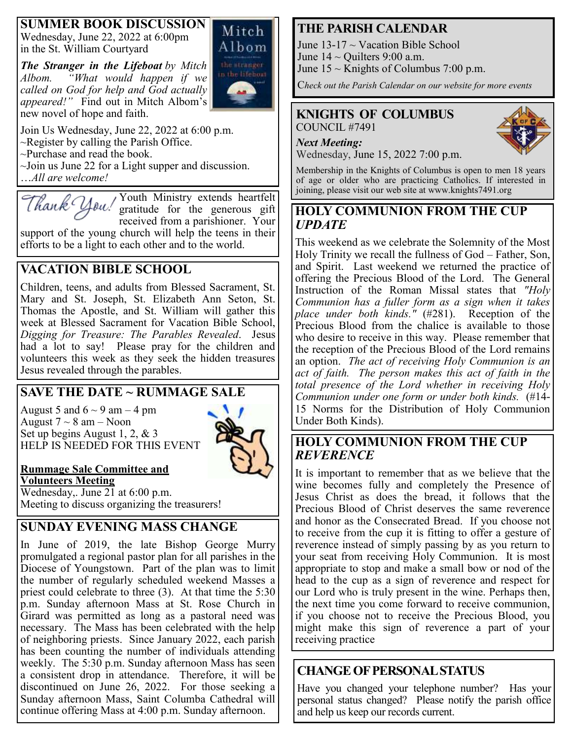#### **SUMMER BOOK DISCUSSION**

Wednesday, June 22, 2022 at 6:00pm in the St. William Courtyard

*The Stranger in the Lifeboat by Mitch Albom. "What would happen if we called on God for help and God actually appeared!"* Find out in Mitch Albom's new novel of hope and faith.



Join Us Wednesday, June 22, 2022 at 6:00 p.m.  $\sim$ Register by calling the Parish Office. ~Purchase and read the book.  $\sim$ Join us June 22 for a Light supper and discussion. …*All are welcome!*

Youth Ministry extends heartfelt Thank You! gratitude for the generous gift received from a parishioner. Your support of the young church will help the teens in their

efforts to be a light to each other and to the world.

### **VACATION BIBLE SCHOOL**

Children, teens, and adults from Blessed Sacrament, St. Mary and St. Joseph, St. Elizabeth Ann Seton, St. Thomas the Apostle, and St. William will gather this week at Blessed Sacrament for Vacation Bible School, *Digging for Treasure: The Parables Revealed*. Jesus had a lot to say! Please pray for the children and volunteers this week as they seek the hidden treasures Jesus revealed through the parables.

### **SAVE THE DATE ~ RUMMAGE SALE**

August 5 and  $6 \sim 9$  am  $-4$  pm August  $7 \sim 8$  am – Noon Set up begins August 1, 2, & 3 HELP IS NEEDED FOR THIS EVENT



#### **Rummage Sale Committee and Volunteers Meeting**

Wednesday,. June 21 at 6:00 p.m. Meeting to discuss organizing the treasurers!

### **SUNDAY EVENING MASS CHANGE**

In June of 2019, the late Bishop George Murry promulgated a regional pastor plan for all parishes in the Diocese of Youngstown. Part of the plan was to limit the number of regularly scheduled weekend Masses a priest could celebrate to three (3). At that time the 5:30 p.m. Sunday afternoon Mass at St. Rose Church in Girard was permitted as long as a pastoral need was necessary. The Mass has been celebrated with the help of neighboring priests. Since January 2022, each parish has been counting the number of individuals attending weekly. The 5:30 p.m. Sunday afternoon Mass has seen a consistent drop in attendance. Therefore, it will be discontinued on June 26, 2022. For those seeking a Sunday afternoon Mass, Saint Columba Cathedral will continue offering Mass at 4:00 p.m. Sunday afternoon.

### **THE PARISH CALENDAR**

June  $13-17 \sim$  Vacation Bible School June  $14 \sim$  Quilters 9:00 a.m. June  $15 \sim$  Knights of Columbus 7:00 p.m.

C*heck out the Parish Calendar on our website for more events*

#### **KNIGHTS OF COLUMBUS** COUNCIL #7491



Wednesday, June 15, 2022 7:00 p.m.

Membership in the Knights of Columbus is open to men 18 years of age or older who are practicing Catholics. If interested in joining, please visit our web site at www.knights7491.org

#### **HOLY COMMUNION FROM THE CUP** *UPDATE*

This weekend as we celebrate the Solemnity of the Most Holy Trinity we recall the fullness of God – Father, Son, and Spirit. Last weekend we returned the practice of offering the Precious Blood of the Lord. The General Instruction of the Roman Missal states that *"Holy Communion has a fuller form as a sign when it takes place under both kinds."* (#281). Reception of the Precious Blood from the chalice is available to those who desire to receive in this way. Please remember that the reception of the Precious Blood of the Lord remains an option. *The act of receiving Holy Communion is an act of faith. The person makes this act of faith in the total presence of the Lord whether in receiving Holy Communion under one form or under both kinds.* (#14- 15 Norms for the Distribution of Holy Communion Under Both Kinds).

#### **HOLY COMMUNION FROM THE CUP**  *REVERENCE*

It is important to remember that as we believe that the wine becomes fully and completely the Presence of Jesus Christ as does the bread, it follows that the Precious Blood of Christ deserves the same reverence and honor as the Consecrated Bread. If you choose not to receive from the cup it is fitting to offer a gesture of reverence instead of simply passing by as you return to your seat from receiving Holy Communion. It is most appropriate to stop and make a small bow or nod of the head to the cup as a sign of reverence and respect for our Lord who is truly present in the wine. Perhaps then, the next time you come forward to receive communion, if you choose not to receive the Precious Blood, you might make this sign of reverence a part of your receiving practice

### **CHANGE OF PERSONAL STATUS**

Have you changed your telephone number? Has your personal status changed? Please notify the parish office and help us keep our records current.